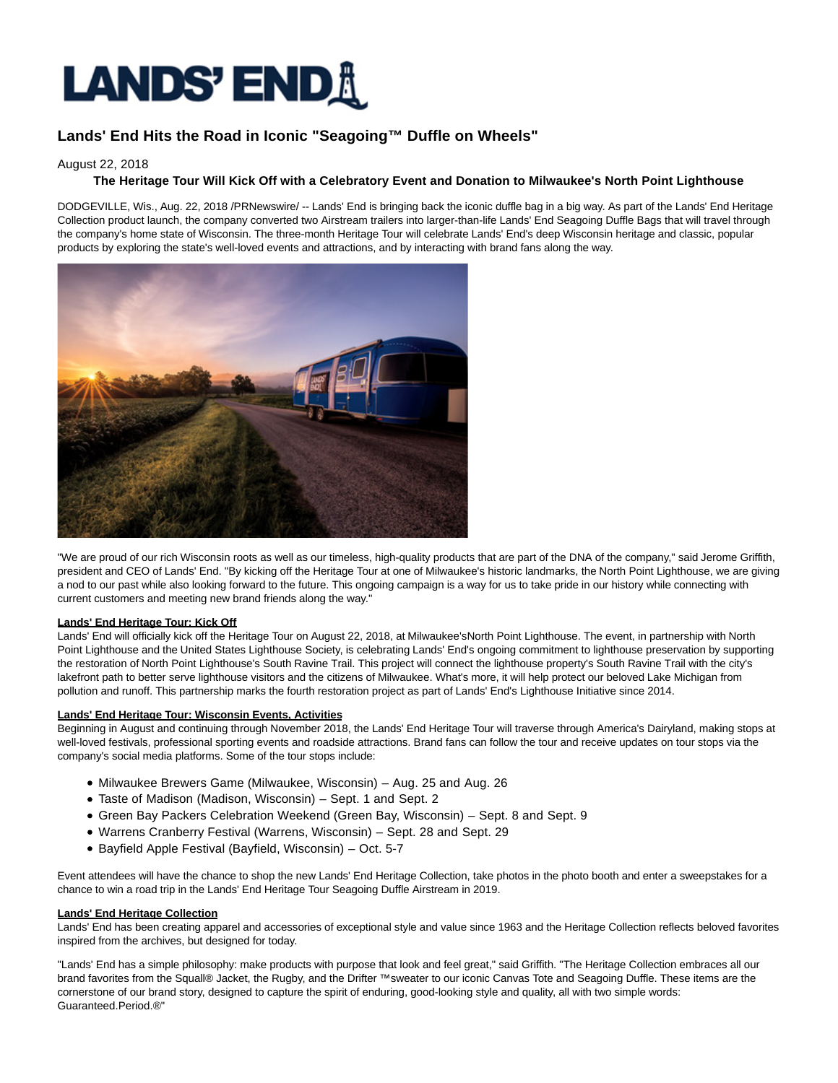# **LANDS' END!\**

# **Lands' End Hits the Road in Iconic "Seagoing™ Duffle on Wheels"**

### August 22, 2018

## **The Heritage Tour Will Kick Off with a Celebratory Event and Donation to Milwaukee's North Point Lighthouse**

DODGEVILLE, Wis., Aug. 22, 2018 /PRNewswire/ -- Lands' End is bringing back the iconic duffle bag in a big way. As part of the Lands' End Heritage Collection product launch, the company converted two Airstream trailers into larger-than-life Lands' End Seagoing Duffle Bags that will travel through the company's home state of Wisconsin. The three-month Heritage Tour will celebrate Lands' End's deep Wisconsin heritage and classic, popular products by exploring the state's well-loved events and attractions, and by interacting with brand fans along the way.



"We are proud of our rich Wisconsin roots as well as our timeless, high-quality products that are part of the DNA of the company," said Jerome Griffith, president and CEO of Lands' End. "By kicking off the Heritage Tour at one of Milwaukee's historic landmarks, the North Point Lighthouse, we are giving a nod to our past while also looking forward to the future. This ongoing campaign is a way for us to take pride in our history while connecting with current customers and meeting new brand friends along the way."

#### **Lands' End Heritage Tour: Kick Off**

Lands' End will officially kick off the Heritage Tour on August 22, 2018, at Milwaukee'sNorth Point Lighthouse. The event, in partnership with North Point Lighthouse and the United States Lighthouse Society, is celebrating Lands' End's ongoing commitment to lighthouse preservation by supporting the restoration of North Point Lighthouse's South Ravine Trail. This project will connect the lighthouse property's South Ravine Trail with the city's lakefront path to better serve lighthouse visitors and the citizens of Milwaukee. What's more, it will help protect our beloved Lake Michigan from pollution and runoff. This partnership marks the fourth restoration project as part of Lands' End's Lighthouse Initiative since 2014.

#### **Lands' End Heritage Tour: Wisconsin Events, Activities**

Beginning in August and continuing through November 2018, the Lands' End Heritage Tour will traverse through America's Dairyland, making stops at well-loved festivals, professional sporting events and roadside attractions. Brand fans can follow the tour and receive updates on tour stops via the company's social media platforms. Some of the tour stops include:

- Milwaukee Brewers Game (Milwaukee, Wisconsin) Aug. 25 and Aug. 26
- Taste of Madison (Madison, Wisconsin) Sept. 1 and Sept. 2
- Green Bay Packers Celebration Weekend (Green Bay, Wisconsin) Sept. 8 and Sept. 9
- Warrens Cranberry Festival (Warrens, Wisconsin) Sept. 28 and Sept. 29
- Bayfield Apple Festival (Bayfield, Wisconsin) Oct. 5-7

Event attendees will have the chance to shop the new Lands' End Heritage Collection, take photos in the photo booth and enter a sweepstakes for a chance to win a road trip in the Lands' End Heritage Tour Seagoing Duffle Airstream in 2019.

#### **Lands' End Heritage Collection**

Lands' End has been creating apparel and accessories of exceptional style and value since 1963 and the Heritage Collection reflects beloved favorites inspired from the archives, but designed for today.

"Lands' End has a simple philosophy: make products with purpose that look and feel great," said Griffith. "The Heritage Collection embraces all our brand favorites from the Squall® Jacket, the Rugby, and the Drifter ™ sweater to our iconic Canvas Tote and Seagoing Duffle. These items are the cornerstone of our brand story, designed to capture the spirit of enduring, good-looking style and quality, all with two simple words: Guaranteed.Period.®"